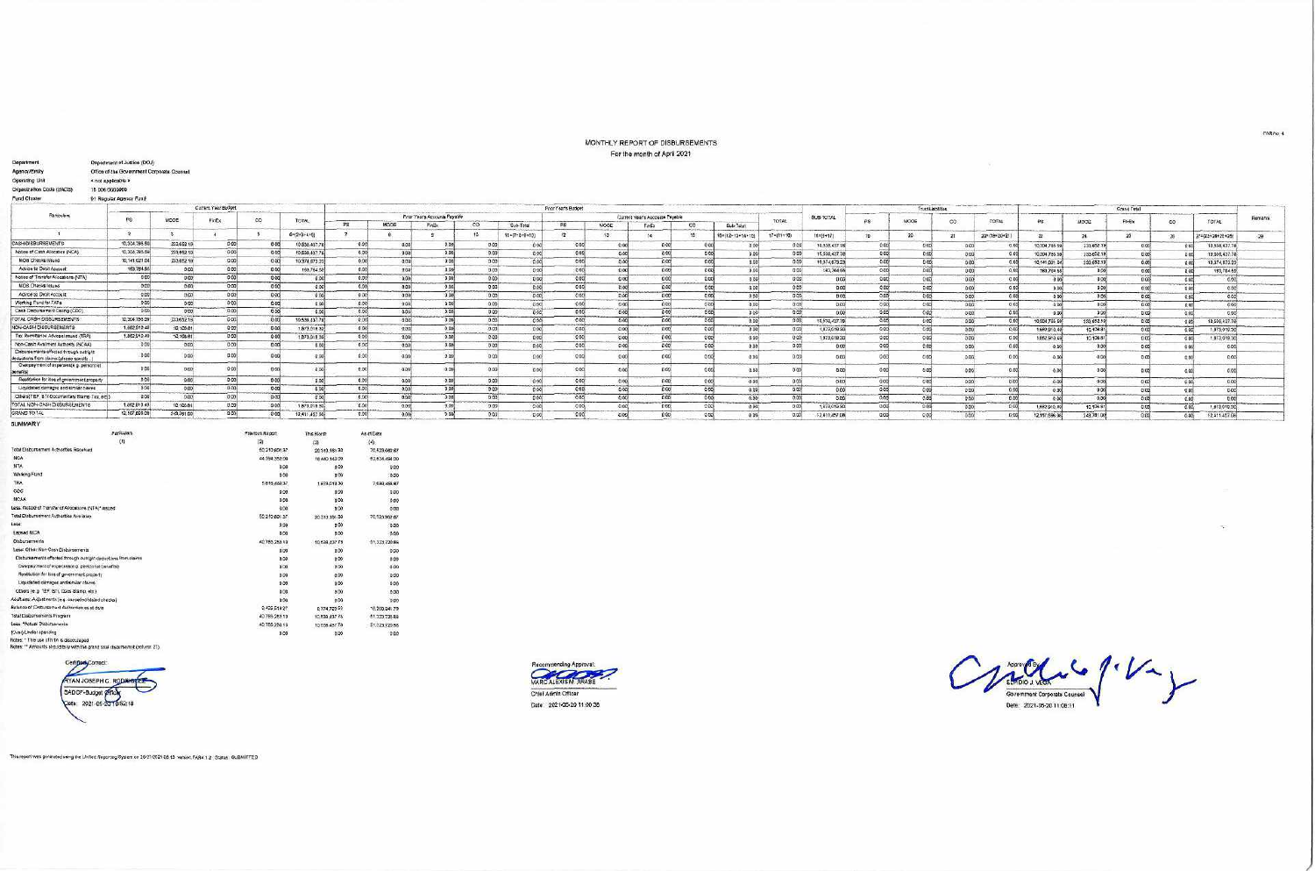## MONTHLY REPORT OF DISBURSEMENTS For the month of April 2021

| Department.                                                                          | Department of Justice (DOJ)                |                   |                     |                 |                                |                |                                |                               |          |                         |                        |                 | <b>I AN YOR WALLET AT WHILE AND I</b> |                       |                        |                       |     |        |                   |               |               |                                  |                |          |                             |         |
|--------------------------------------------------------------------------------------|--------------------------------------------|-------------------|---------------------|-----------------|--------------------------------|----------------|--------------------------------|-------------------------------|----------|-------------------------|------------------------|-----------------|---------------------------------------|-----------------------|------------------------|-----------------------|-----|--------|-------------------|---------------|---------------|----------------------------------|----------------|----------|-----------------------------|---------|
| Agency/Entity                                                                        | Office of the Government Corporate Counsel |                   |                     |                 |                                |                |                                |                               |          |                         |                        |                 |                                       |                       |                        |                       |     |        |                   |               |               |                                  |                |          |                             |         |
| Operating Unit                                                                       | « not applicable »                         |                   |                     |                 |                                |                |                                |                               |          |                         |                        |                 |                                       |                       |                        |                       |     |        |                   |               |               |                                  |                |          |                             |         |
| Organization Code (UACS)                                                             | 15 006 0000000                             |                   |                     |                 |                                |                |                                |                               |          |                         |                        |                 |                                       |                       |                        |                       |     |        |                   |               |               |                                  |                |          |                             |         |
| Fund Cluster                                                                         | <b>D1 Regular Agency Fund</b>              |                   |                     |                 |                                |                |                                |                               |          |                         |                        |                 |                                       |                       |                        |                       |     |        |                   |               |               |                                  |                |          |                             |         |
|                                                                                      |                                            |                   | Current Year Budget |                 |                                |                |                                |                               |          |                         |                        |                 |                                       |                       |                        |                       |     |        |                   |               |               |                                  |                |          |                             |         |
| <b>Fariculars</b>                                                                    |                                            |                   |                     |                 |                                |                |                                | Prior Year's Accounts Payable |          |                         | Prior Year's Budget    |                 | Current Year's Accounts Payable       |                       |                        | SUB-TOTAL             |     |        | Trust Liabilities |               |               |                                  | Grand Total    |          |                             |         |
|                                                                                      | DS:                                        | MODE              | FinEx:              | $\infty$        | TOTAL:                         | PS             | MODE                           | Findix:                       | $\infty$ | Sub-Total               | <b>PS</b>              | NOOE            | FinEx                                 | CO<br>Sub-Total       | TOTAL                  |                       | PS: | MODE   | CO.               | <b>TOTAL</b>  | 敬愛            | MODE                             | FIFEX          | $\infty$ | <b>TOTAL</b>                | Remarks |
|                                                                                      | $\rightarrow$                              | $\mathbf{a}$      | $\mathbf{A}$        | 5               | $6 = (2 + 3 + 4 + 5)$          |                | $\mathbf{B}$                   |                               | 10       | $11 = [7 + 8 + 9 + 10]$ | 17                     | 13 <sub>1</sub> | 14                                    | 15<br>8-(12-13-14-15) | $17 = (11 + 16)$       | 18=(6+17)             | 19. | $20 -$ | 21                | 221(19420421) | 23            | 24                               | $26 -$         | $-26$    | $(7 - (23 + 24 + 26 + 26))$ | $-29$   |
| CASH DISBURSEMENTS                                                                   | 10:304.785.59                              | 233,652 19        | D.00                | 0 OC            | 10,538,437.76                  | 0.00           | 0 <sub>0</sub>                 | 0 <sup>o</sup>                | 0.00     | 000                     | an                     | 000             | 0.00                                  | a                     | 0.00<br>000            | 10,538,437.78         |     | 0.85   | 0.00<br>0.001     | 0.00          | 10,304,785.69 | 233, 652.1                       | 0.00           |          | 10,538,437.78<br>0.00       |         |
| Notice of Cash Allocation (NCA)                                                      | 10.304.785.59                              | 233,652.10        | $-0.00$             | 0.00            | f0,538.437.78                  | 0.001          | 0.00                           | 0 <sup>o</sup>                |          | 0 <sub>0</sub><br>0.00  | 0.05                   | 0.00            | 0.00                                  | n <sub>0</sub>        | 0.00                   | 0.00<br>10.538.437.78 |     | 0.00   | 000<br><b>DOD</b> | 0.00          | 10,304,785.5  | 733.652.19                       | 0.006          |          | 10.038,437.78<br>000        |         |
| MOB Chesks issued                                                                    | 10,141,021.04                              | 233.652.18        | 0.00                | 0.00            | 10.374,673.23                  | 0.00           | 0.00                           | 0.00                          |          | 0.00<br>0.00            | 00                     | 0.00            | 0.00                                  | 0 <sup>o</sup>        | 0.00                   | 0.00<br>10:374:673.23 |     | 0.00   | 0.00<br>0.00      | 0.00          | 10,141,021.04 | 233,652.18                       | 0.008          |          | 10.374, 673.23<br>0.001     |         |
| Advice to Detri Account                                                              | 163,784.55                                 | 0.00              | 0.00                | 0.00            | 163,764.55                     | 0.00           | 000                            | 0.00                          |          | 0.00<br>000             | 0.00                   | 0.00            | 0 <sub>0</sub>                        | 0.00                  | 0 <sub>0</sub><br>0.00 | 183,764 55            |     | 0.00   | 0.00<br>0.00      | 0.00          | 163,784.55    | 0.00                             | 0.000          |          | 183,764.55<br>a act         |         |
| Notice of Transfer Allocations (NTA)                                                 | 0.00                                       | 000               | 0.00                | 000             | 0.00                           | 0.00           | 0.00                           | D CO                          |          | 0.00<br>0.00            | 0.00                   | 0.00            | 0.00                                  | 0.00                  | 0.00<br>0.00           | 0.00                  |     | 0.00   | 0.00<br>0.001     | 0.001         | 00            | 0.001                            | 0.066          |          | 0.00<br>0.001               |         |
| <b>MDS Chacks Issues</b>                                                             | 0.00                                       | 0.00              | 0.00                | 000             | 0 <sup>o</sup>                 | 0.00           | 000                            | 0.00                          |          | 000<br>0.00             | 0.00                   | D.00            | 0.00                                  | 0.00                  | -DOG                   | 0.00<br>0.001         |     | 0.000  | 0.00<br>0.00      | 0.00          | 0.00          | 0.00                             | 0.00           |          | 0.00<br>000                 |         |
| Advice to Detri Account                                                              | 0.00                                       | 0.00              | 0.00                | 0.001           | 0.00                           | 0.00           | 0.00                           | 000                           |          | 0.00<br>0 <sup>o</sup>  | 0.006                  | 0.00            |                                       | 0.00<br>0.00          | 0.00                   | 0.00<br>0.00          |     | 0.00   | 0.00<br>0.00      | 0.001         | 000           | 0.008                            | 0.006          |          | 0.00<br>0.02                |         |
| Working Pund for FAPs                                                                | 0.00                                       | 0.00              | 0.00                | 0.00            | 0.00                           | 0.00           | .0.00                          | 000                           |          | 0.00<br>0.00            | $-0.00$                | 0 <sup>0</sup>  |                                       | 0.00<br>000           | 0.00                   | 0.00<br>0.00          |     | 0.00   | 0.00<br>0.00      | 0.05          | 0.00          | 0.00                             | 0.006          |          | 0.00<br>0.00                |         |
| Cash Disbursement Celling (CDC)                                                      | 0.001                                      | 0.00              | 0.00                | 0.00            | 0.00                           | 0.00           | 0.00                           | D CO <sub>1</sub>             |          | 0.00<br>000             | 000                    | 0.00            | 000                                   | 0.00                  | 0.001<br>0.00          | 0.00                  |     | 0.05   | 0.00<br>0.00      | 0.00          | 0.00          | 9.00                             | 0 <sup>o</sup> |          | 0,00<br>0.001               |         |
| TOTAL CASH DISSURSEMENTS<br>NON-CASH DISSURSEMENTS                                   | 10,304,755.59                              | 233,632.18        | CCO                 | 0.00            | 10,538,437.78                  | 0.00           | 000                            | 0.00                          |          | 0 <sub>0</sub><br>000   | 0.00                   | 0.00            | 0.00                                  | 0.00                  | 0.00                   | 0.06<br>10.518,437.78 |     | 0.00   | 0.00<br>0.00      | 0.00          | 10,304,785.69 | 233,652.10                       | 0004           |          | 0.001<br>10,536,437.78      |         |
|                                                                                      | 1,682,910.42                               | 10,106.81         | 0.00                | 0.00            | 1,873,019.30                   | 0.00           | 0.00                           | 0.00                          |          | 0.00<br>0.00            | 0.00                   | 0.00            | 0.00                                  | 0.00                  | 0.00<br>0.00           | 1,873,019.30          |     | 0.00   | 0.00<br>0.000     | 0.00          | 1,682,910.48  | 10,108.81                        | 0.001          |          | 0.00<br>1,873,019.30        |         |
| Tax Remittants Advoce Issued (TRA)<br>Non-Cash Availment Authority (NCAA)            | 1,862,910.49<br>0.00                       | 10,108.81         | 0.00                | 0.00            | 1,873,019.30                   | 0.00           | 0.00                           | 0.00                          |          | 0.00<br>0.00            | 000                    | 0.00            | 0.00                                  | (3,0)                 | 0.00<br>0.001          | 1,873,019.30          |     | 0.00   | 0.00<br>000       | 0.00          | 1,862,910.49  | 10,108.81                        | 0.00           |          | 0.00<br>1.873.019.30        |         |
| Disbursements effected through outright                                              |                                            | 0.00              | 0001                | 0.00            | 0.00                           | 0.00           | 0.00                           | 0.00                          |          | 0.00<br>0.00            | 0.00                   | 0.00            | 0.00                                  | 0.00                  | 0.00<br>0.00           | 0.00                  |     | 0.0%   | 0.00<br>0.00      | 0.001         | 00            | 0.00                             | 0.00           |          | 0.002<br>0.00               |         |
| deductions from clams (please specify)                                               | 0.00                                       | DOG:              | 0.00                | 0.00            | $-0.00$                        | 0.00           | 0.05                           | 000                           |          | 0.00<br>0.00            | 0.00                   | 0.00            | 0.00                                  | 0.0                   | 0.00<br>0.00           | 0.00                  |     | 0.00   | 00<br>0.00        | 0.00          | 0.0           | 0.00                             | 0.00           |          | 0.00<br>0.00                |         |
| Overpsyment of expenses(e.g. personnel                                               | 0.00                                       | $0.00 +$          | 0.00                | 0.00            | 000                            | 0.00           | 0.00                           | 0.00                          |          | 0.00<br>0.00            | 0.00                   | 0.00            | 0 <sub>0</sub>                        | 0.00                  | 0.00<br>0.00           | 0.00                  |     | 0.00   | 600<br>0.00       | 0.00          | 0.00          | 00                               | 0.00           |          |                             |         |
| (barrentics)                                                                         |                                            |                   |                     |                 |                                |                |                                |                               |          |                         |                        |                 |                                       |                       |                        |                       |     |        |                   |               |               |                                  |                |          | 0.00%<br>0.00               |         |
| Restitution for itse of government property                                          | 0.00<br>0.00                               | 0.00              | 0.00<br>000         | 000             | <b>D.OO</b>                    | 0.00           | 0.00                           | 0.00                          |          | 0.00<br>0.00            | 0.00                   | 300             | 0.00                                  | 0.00                  | 0.00<br>0.00           | 0.00                  |     | 0.00   | 0.00<br>0.001     | 0.00          | 0.00          | 0.00                             | 0.00           |          | 0.00<br>apo,                |         |
| Liquidated damages and similar claims<br>Others(TEF, BTr-Documentary Stamp Tax, etc) |                                            | 0.05              | 0.00                | $0$ cal         | 0.00                           | 0.001          | 0.00                           | 0.00                          |          | 0.00<br>0.00            | 0.00                   | 0 <sup>0</sup>  | 0.00                                  | 0.00                  | 0.00                   | 0.00<br>0.00          |     | 0.00   | 0.00<br>0.00      | 0.00          | 0.00          | 00                               | 0.005          |          | 000<br>0.008                |         |
| TOTAL NON-CASH DISBURSEMENTS                                                         | 0.00<br>1.662, 810.48                      | 0.00<br>10,108.81 | 0.00                | 000<br>000      | 0.00                           | 0.00<br>0.90   | 0.00                           | 0.00                          |          | 000<br>0.00             | 0.00                   | 0.00            | 0.00                                  | 0.00                  | 0.00                   | 0.005<br>0.00         |     | 0.60   | 0.00<br>0.00      | 0.00          | 0.00          | 0R                               | 0.00           |          | 0.00<br>0.001               |         |
| GRAND TO TAL                                                                         | 12,167,066.00                              | 243,761.00        | 0.00                |                 | 1,873,019 30                   | 0.00           | 0.00                           | 0.00<br>000                   |          | 0.00<br>0.00            | 0.00                   | 0.00            | 0.00                                  | 0.00                  | 0.00                   | 0.00<br>1,873,019.90  |     | 0.00   | 0.00<br>0.00      | D, CO         | 1,682,910.03  | 10,106.81                        | 0.00           |          | 1,873,019.30<br>0.00        |         |
|                                                                                      |                                            |                   |                     | 000             | 12,411,457.08                  |                | 0.006                          |                               |          | 060<br>0.00             | 0.00                   | 0.001           | 0.00                                  | 0.00                  | 0.00                   | 0.00<br>12,411,457.08 |     | 0.00   | 0.00<br>0.00      | 0.00          | 12,167,698.0  | 243,781.00                       | 0.00           |          | 12,411,457.08<br>0.006      |         |
| <b>SUMMARY</b>                                                                       |                                            |                   |                     |                 |                                |                |                                |                               |          |                         |                        |                 |                                       |                       |                        |                       |     |        |                   |               |               |                                  |                |          |                             |         |
|                                                                                      | Particulars                                |                   |                     | Previous Report | This Month                     |                | As at Date                     |                               |          |                         |                        |                 |                                       |                       |                        |                       |     |        |                   |               |               |                                  |                |          |                             |         |
| Total Disbursoment Actionities Received                                              | $\mathbf{m}$                               |                   |                     | 60,210,801.37   |                                |                | (4)                            |                               |          |                         |                        |                 |                                       |                       |                        |                       |     |        |                   |               |               |                                  |                |          |                             |         |
| NCA <sup>:</sup>                                                                     |                                            |                   |                     | 44.394.352.00   | 20:313:161:30<br>18.440.142.00 |                | 70.523,982.67<br>52.834,494.00 |                               |          |                         |                        |                 |                                       |                       |                        |                       |     |        |                   |               |               |                                  |                |          |                             |         |
| NTA.                                                                                 |                                            |                   |                     | 0.00            |                                | 0 <sup>0</sup> | 0.00                           |                               |          |                         |                        |                 |                                       |                       |                        |                       |     |        |                   |               |               |                                  |                |          |                             |         |
| Working Fund                                                                         |                                            |                   |                     | 0.00            |                                | 0.00           | 0.00                           |                               |          |                         |                        |                 |                                       |                       |                        |                       |     |        |                   |               |               |                                  |                |          |                             |         |
| TRA.                                                                                 |                                            |                   |                     | 5,816,449.37    |                                | 1.873,019.30   | 7,689,465.67                   |                               |          |                         |                        |                 |                                       |                       |                        |                       |     |        |                   |               |               |                                  |                |          |                             |         |
| $\csc$                                                                               |                                            |                   |                     | 0.00            |                                | 0.00           | 0.00                           |                               |          |                         |                        |                 |                                       |                       |                        |                       |     |        |                   |               |               |                                  |                |          |                             |         |
| <b>NOM</b>                                                                           |                                            |                   |                     | 0.00            |                                | 0.00           | 0.00                           |                               |          |                         |                        |                 |                                       |                       |                        |                       |     |        |                   |               |               |                                  |                |          |                             |         |
| Less: Notice of Transfer of Alcostons (NTA)* aspect                                  |                                            |                   |                     | 600             |                                | 0 <sup>o</sup> | 0.00                           |                               |          |                         |                        |                 |                                       |                       |                        |                       |     |        |                   |               |               |                                  |                |          |                             |         |
| Total Disbursement Authorities Ave lable                                             |                                            |                   |                     | 50,210,801.37   | 20.313,161.30                  |                | 70,525,962.67                  |                               |          |                         |                        |                 |                                       |                       |                        |                       |     |        |                   |               |               |                                  |                |          |                             |         |
| Lass                                                                                 |                                            |                   |                     | 0.00            |                                | 0.00           | 0.00                           |                               |          |                         |                        |                 |                                       |                       |                        |                       |     |        |                   |               |               |                                  |                |          | -                           |         |
| <b>Lapsed NCA</b>                                                                    |                                            |                   |                     | 0.00            |                                | 0.00           | -5.00                          |                               |          |                         |                        |                 |                                       |                       |                        |                       |     |        |                   |               |               |                                  |                |          |                             |         |
| Cisbursements                                                                        |                                            |                   |                     | 40,785,253.10   | 10,638,437.78                  |                | 51,523,720.86                  |                               |          |                         |                        |                 |                                       |                       |                        |                       |     |        |                   |               |               |                                  |                |          |                             |         |
| Less: Other Non-Cash Disbursements                                                   |                                            |                   |                     | 0.00            |                                | 0.00           | 0.00                           |                               |          |                         |                        |                 |                                       |                       |                        |                       |     |        |                   |               |               |                                  |                |          |                             |         |
| Disbuttements effected through outright dequations from claims.                      |                                            |                   |                     | 0.00            |                                | 0.00           | 0.03                           |                               |          |                         |                        |                 |                                       |                       |                        |                       |     |        |                   |               |               |                                  |                |          |                             |         |
| Overpayment of syperalstag personnel benefits)                                       |                                            |                   |                     | 0.00            |                                | 0.00           | 0.00                           |                               |          |                         |                        |                 |                                       |                       |                        |                       |     |        |                   |               |               |                                  |                |          |                             |         |
| Restitution for loss of government property                                          |                                            |                   |                     | 0.00            |                                | 0.00           | 0.00                           |                               |          |                         |                        |                 |                                       |                       |                        |                       |     |        |                   |               |               |                                  |                |          |                             |         |
| Liquidated damages and sitrilar claims                                               |                                            |                   |                     | 0.00            |                                | 0.00           | 0.00                           |                               |          |                         |                        |                 |                                       |                       |                        |                       |     |        |                   |               |               |                                  |                |          |                             |         |
| Others (e.g. TEF, BTr, Docs Stamp, etc.)                                             |                                            |                   |                     | 0.00            |                                | 0.00           | 0.00                           |                               |          |                         |                        |                 |                                       |                       |                        |                       |     |        |                   |               |               |                                  |                |          |                             |         |
| Additiess: Adjustments (e.g. campéedistaled checks)                                  |                                            |                   |                     | 800             |                                | 0.00           | 0.00                           |                               |          |                         |                        |                 |                                       |                       |                        |                       |     |        |                   |               |               |                                  |                |          |                             |         |
| Balance of Disbursement Authorities as at days                                       |                                            |                   |                     | 0,425,518.27    |                                | 8,774,723.52   | 19.200.241.79                  |                               |          |                         |                        |                 |                                       |                       |                        |                       |     |        |                   |               |               |                                  |                |          |                             |         |
| Total Disbursements Program                                                          |                                            |                   |                     | 40.785,283.10   | 10.538,437.78                  |                | 01.323.720.88                  |                               |          |                         |                        |                 |                                       |                       |                        |                       |     |        |                   |               |               |                                  |                |          |                             |         |
| Less, "Actual Disbinsaments"<br>(Cyer)/Under spending                                |                                            |                   |                     | 40,785,283.10   | 10,638,437.78                  |                | 51,323,720.88                  |                               |          |                         |                        |                 |                                       |                       |                        |                       |     |        |                   |               |               |                                  |                |          |                             |         |
| Notes: * The use of NTA is discouraged                                               |                                            |                   |                     | 0.00            |                                | 0.00           | 0.00                           |                               |          |                         |                        |                 |                                       |                       |                        |                       |     |        |                   |               |               |                                  |                |          |                             |         |
| Notes: ** Arnounts should bely with the grand total disgursemet (column 27).         |                                            |                   |                     |                 |                                |                |                                |                               |          |                         |                        |                 |                                       |                       |                        |                       |     |        |                   |               |               |                                  |                |          |                             |         |
|                                                                                      |                                            |                   |                     |                 |                                |                |                                |                               |          |                         |                        |                 |                                       |                       |                        |                       |     |        |                   |               |               |                                  |                |          |                             |         |
| Certified Correct:                                                                   |                                            |                   |                     |                 |                                |                |                                |                               |          |                         | Recommending Approval: |                 |                                       |                       |                        |                       |     |        |                   |               |               | $\bigwedge$ second c $\bigwedge$ |                |          |                             |         |





Ville / Va

This report was generated using the Unified Reporting System on 28/37/2021 08:13 version FAR4 1.2 Status SUBMITTED

FAR No. 4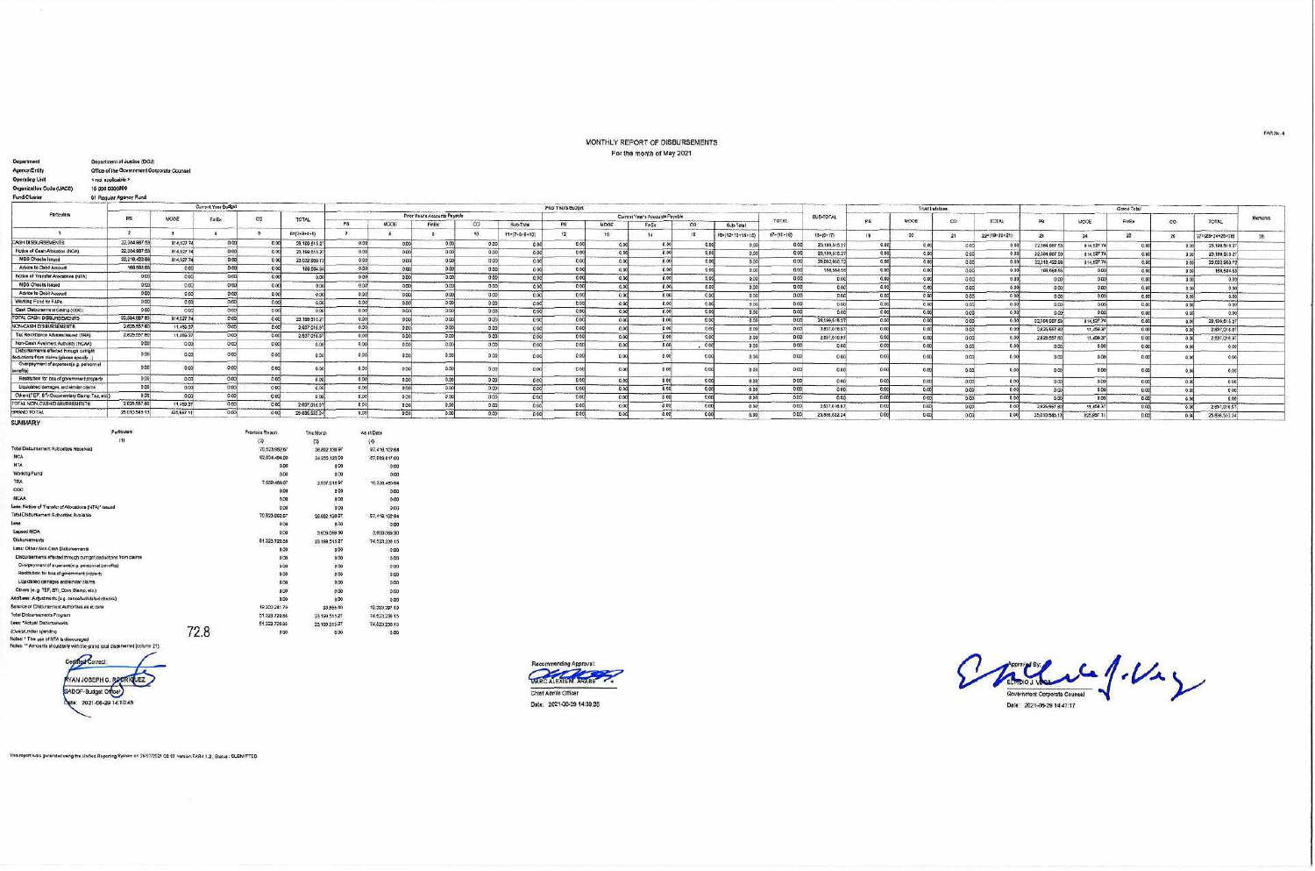## MONTHLY REPORT OF DISBURSEMENTS For the month of May 2021

| Department<br>Agency/Entity                                                       | Department of Justice (DOJ)<br>Office of the Government Corporate Counsel |                         |                     |                                      |                      |               |               |                               |          |                         |                     |              | a man show assumptions will come the motion |                   |                  |                  |                 |                        |                 |                 |               |                |            |                |                 |                   |         |
|-----------------------------------------------------------------------------------|---------------------------------------------------------------------------|-------------------------|---------------------|--------------------------------------|----------------------|---------------|---------------|-------------------------------|----------|-------------------------|---------------------|--------------|---------------------------------------------|-------------------|------------------|------------------|-----------------|------------------------|-----------------|-----------------|---------------|----------------|------------|----------------|-----------------|-------------------|---------|
| <b>Operating Unit</b>                                                             | « not applicable »                                                        |                         |                     |                                      |                      |               |               |                               |          |                         |                     |              |                                             |                   |                  |                  |                 |                        |                 |                 |               |                |            |                |                 |                   |         |
| Organization Code (UACS)                                                          | 15 006 0000000                                                            |                         |                     |                                      |                      |               |               |                               |          |                         |                     |              |                                             |                   |                  |                  |                 |                        |                 |                 |               |                |            |                |                 |                   |         |
| Fund Cluster                                                                      | 01 Regular Agency Fund                                                    |                         |                     |                                      |                      |               |               |                               |          |                         |                     |              |                                             |                   |                  |                  |                 |                        |                 |                 |               |                |            |                |                 |                   |         |
|                                                                                   |                                                                           |                         | Current Year Budget |                                      |                      |               |               |                               |          |                         | Prior Year's Budget |              |                                             |                   |                  |                  |                 |                        |                 | Truet Lutettes  |               |                |            | Grand Total    |                 |                   |         |
| Particulars                                                                       |                                                                           |                         |                     |                                      |                      |               |               | Prior Year's Accounts Payable |          |                         |                     |              | Current Year's Accounts Psyable             |                   |                  |                  | SUB-TOTAL       |                        |                 |                 |               |                |            |                |                 |                   |         |
|                                                                                   |                                                                           | MODE                    | FnEx                | $\circ$                              | TOTAL                | PS            | MODE          | FnEx                          | $\infty$ | Sub-Total               | PS                  | MODE         | FinEx                                       | co:               | Sub-Total        | TOTAL            |                 | PR.                    | MODE            | CO <sub>1</sub> | TOTAL         |                | MODE       | FinEx          | $\overline{co}$ | TOTAL             | Remarks |
| - 1                                                                               | $\rightarrow$                                                             | $\overline{\mathbf{3}}$ |                     | 6                                    | 6=(2+3+4+5)          | $\mathcal{F}$ | a.            |                               | 10       | $11 = (7 + 6 + 6 + 10)$ | 12                  | 13           | 14                                          | $35 -$            | FB=(12+13+14+15) | $17 - (11 + 16)$ | 18=(6+17)       |                        | 20 <sup>1</sup> |                 |               |                |            |                |                 |                   |         |
| CASH DISBURSEMENTS                                                                | 22,384,987.5                                                              | 814,527.74              | 0.00                | 0.00                                 | 23.199.515.2         | 0.00          | 0.006         | 0.00                          | 0.00     |                         | 0.00                |              |                                             | 0.00              |                  |                  |                 | 19.7                   |                 | 21              | 224(19+20+21) | 23             | $-24$      | $25 -$         | $20^{\circ}$    | 27=(23+24+25+26)  | 28      |
| Notice of Cash Allocation (NCA)                                                   | 22.384.987.6                                                              | 814.527.74              | 0.00                | 0.00                                 | 23,199,515.2         | 0.00          | 0.00          | 0.00                          | 0.00     | 0.00<br>0.00            | 0.00                | 0.00         | 0.00<br>0.00                                | 0.00              | 0.00             | 0.00             | 23, 199, 515.27 | 0.00                   | 00              | 0.00            | 0.00          | 22,384,987     | 814.527.74 | 0.00           | 0.00            | 23, 199.515.27    |         |
| MDS Checks Issued                                                                 | 22,218,422.98                                                             | 814,527.74              | 0.00                | $0-00$                               | 23,032.950.7         | 0.00          | 0.00          | 0.00                          | 0.00     | 0.00                    | 000                 | 0.00<br>0.00 | 0.00                                        | 0.00              | 0.00             | 0.00<br>0.00     | 23, 199, 515.27 | 0.00<br>0.00           | 0.00            | 0.00            | 0.00          | 22,584,987.    | 814,527.74 | 0.00           | 0.00            | 23,199,515.27     |         |
| Advice to Debt Account                                                            | 166,584.65                                                                | 0.00                    | 0.00                | 0.00                                 | 168,564.5            | 0.00          | 0.00          | 0.006                         | 0.00     | 0.00                    | 0 <sup>0</sup>      |              | 0.00                                        |                   | 0.00             |                  | 23,032,950.72   |                        | 0.0             | 0.00            | 0.00          | 22,218,422.9   | 814,527.7  | 0.00           | 0.00            | 23,032 960 72     |         |
| Notice of Transfer Allocations (NTA)                                              | 0.00                                                                      | 0.001                   | 0.00                | 0.00                                 | 0.00                 | 0.00          | 0.00          | 0.00                          | 0.00     | 0.00                    | 0.00                | 0.00         | 0.00                                        | 0.00              | 0.00             | 0.00             | 188,584.58      | 0.00<br>0.00           | 0.00            | 0.00            | 0.008         | 188,554.55     | 0.00       | 0.00           | $0 \infty$      | 168,564.55        |         |
| <b>MDS Checks Issued</b>                                                          | 0.00                                                                      | 0.00                    | 0.00                | 0001                                 | 000                  | 0.00          | 0.001         | 0.001                         | 0.00     |                         | 000                 | 0.00         |                                             | 0.00              | 0.00             | 0.00             |                 | 0.00                   | 0.00            | 0.00            | 0.00          | 0.00           | 0.00       | 0.00           | 0.00            | 0.00              |         |
| Advice to Debit Account                                                           | 0.00                                                                      | 0.00                    | 0.00                | 000                                  |                      | 0.00          | 0.00          |                               |          | 0.00                    |                     | 0.00         | 0.00                                        | 0.00              | 0.00             | 0.00             |                 | 0.00<br>0.00           | 0.00            | 0.00            | 0.008         | 0.00           | 0.00       | 0.00           | 0.00            | 0.001             |         |
| Working Fund for FAPs                                                             | 0.00                                                                      | 0.00                    | 0.00                | 0.00                                 | 0.00                 | 0.00          |               | 0.00                          | 000      | 0.00                    | 0.00                | 0.00         | 0.00                                        | 0.00              | 0.00             | 0.00             |                 | 0.00<br>0.00           | 0.00            | 0.00            | 0.00          | 0.00           | 0.00       | 0.00           | 0.00            | 0.00              |         |
| Cash Disbursenvent Celling (CDC)                                                  | 0.00                                                                      | 0.00                    | 0.00                | 0.00                                 | $-0.00$              | 0.00          | 0.00          | 000                           | 0.00     | 0.00                    | 0.00<br>0.00        | 0.00         | 0.00                                        | 0.00 <sub>k</sub> | 0.00             | 0.00             |                 | 0.00<br>000            | 0.00            | 0.00            | 0.00          | 0.001          | 0.00       | 0.00           | 0.00            | 0.001             |         |
| TOTAL CASH DISBURSEMENTS                                                          | 22:384,987.83                                                             | 814,527.74              | 0.00                | 000                                  | 000                  | 0.00          | 0.00          | 0.00                          | 0.00     | 0.00                    |                     | 0.00         | 0.00                                        | 600               | 0 <sup>o</sup>   | 0.00             |                 | ocol<br>0.00           | 0.00            | 0.00            | 0,00          | 0.00           | 0.00       | 0.00           | 0.001           | 0.00              |         |
| NON-CASH DISBURSEMENTS                                                            | 2,625,557.60                                                              | 11.459.37               | 0.001               |                                      | 23,199,515.27        | 0.00          | 0.00          | 0.001                         | 0.00     | 000                     | 0.00                | 0.00         | 0.00                                        | 0.00              | 000              | 0.00             | 28,199,515.27   | 0.001                  | 0.00            | 0.00            | 0.001         | 22.384.957.53  | 814,527.74 | 0.00           | 0.00            | 23,199,615.27     |         |
| Tax Remittance Advises Issued (TRA)                                               | 2,625,557.60                                                              | 11,459.37               | 0.00                | 0.00                                 | 2,637,016.97         |               | 0.00          | 0.001                         | 0.00     | 0.00                    | 0 <sub>0</sub>      | 0.00         | 0.00                                        | 0.00              | 0.00             | 0.00             | 2,837,016.97    | 0.00                   | 0.00            | 0.00            | 0.001         | 2,625,557.80   | 11,459.37  | 0.001          | 0.00            | 2,637,016.97      |         |
| Non-Cash Avelment Authority (NCAA)                                                | 0.00                                                                      |                         | 0.0                 | 0.00                                 | 2,637,016.97         | 0.00          | 0.00          | 0.00                          | 0.00     | 0.00                    | 000                 | 0.00         | 0.00                                        | 0.00              | 0.00             | 0.00             | 2,637,018.97    | 00                     | 0.00            | 0.00            | 0.00          | 2,825,557.60   | 11,459.37  | 000            | 0.05            | 2.637.016.97      |         |
| Disbursements effected through outright                                           |                                                                           | 0.00                    |                     | 000                                  | 0.0                  | 0.00          | 0.00          | 0.00                          | 0.00     | 0.00                    | 0 <sub>CO</sub>     | 0.00         | 0.00                                        | 000               | 0.00             | 000              |                 | 0.00<br>0.00           | 0.00            | 0.00            | 0.00          | 0 <sup>o</sup> | 0.00       | 0.00           | 0.00            | 0.00              |         |
| deductions from claims (please specify)<br>Overpayment of expenses(e.g. personnel | 0.00                                                                      | 0.00                    | $-0.00$             | 000                                  | 0.00                 | 0.00          | 6:00          | 0.00                          | 0.00     | 0.00                    | 000                 | 0.00         | 0.00                                        | 6.00              | 0.00             | 0.00             |                 | 00<br>0.00             | 0.0             | 0.00            | 0.00          | 0.             | 0.00       | 0.00           |                 | 0.00              |         |
| benefits)                                                                         | 0.00                                                                      | 0.00                    | 0.00                | 0.00                                 | 0.00                 | 0.00          | 0.00          | 0.00                          | 0.00     | 0.00                    | 0.06                | 0.00         | 0.00                                        | 0.00              | 0.00             | 0.05             |                 | 0.00<br>0 <sup>0</sup> | 00              | 0.00            | 0.00          | hN             | 0.00       | 0 col          |                 | occi              |         |
| Restitution for loss of government property.                                      | 0.001                                                                     | 0.00                    | 0.001               | ond                                  | 0.00                 | 0.00          | 0.00          | 0.00                          | 0.00     | 0.00                    | 000                 | 0.00         | 0.00                                        | 0.00              | 0.00             | 0.00             |                 | 0.00<br>0.00           | 0.00            | 0.00            | 0.00          | 0.00           | 0.00       | 0.00           | 0.00            | 0.00 <sub>1</sub> |         |
| Liquidated damages and similar claims                                             | 0.06                                                                      | 0.00                    | 0.00                | 000                                  | 0.00                 | 0.00          | 0.00          | 0.00                          | 0.00     | 0.00                    | 0.00                | 0.00         | 0.00                                        | 000               | 0.00             | 0.00             |                 | 0.00<br>0 <sup>o</sup> | 0.00            | 0.00            | 0.00          | 0.00           | 0.00       | 0.00           | 0.00            | 0.00              |         |
| Others [TEF, BT-Cocumentary Stamp Tax, etd.]                                      | 0.00                                                                      | $-0.001$                | 0.00                | 0.00                                 | 0.00                 | 0.00          | 0.00          | 0.00                          | 0.00     | 0 <sup>0</sup>          | 000                 | 0.00         | 0.00                                        | 0.00              | 0.00             | 0.00             |                 | 0.00<br>0.00           | 0.006           | 0.00            | 0.00          | 01             | 0.00       | 0 <sup>o</sup> | 0.00            | 0.00              |         |
| TOTAL NON-CASH DISBURSEMENTS                                                      | 2,620,057.60                                                              | 11,459.37               | 0.00                | 0.00                                 | 2 837,016.91         | 0.00          | 0.00          | 0.00                          | 0.00     | $D$ CO                  | 0.00                | 0.00         | 0.00                                        | 0.00              | 0.00             | 0.00             | 2,637,016.97    | 0 <sub>0</sub>         | 0.00            | 0.00            | 0.001         | 2,625,557.8    | 11,459.37  | 0.006          | 0.00            | 2.897,016.97      |         |
| GRAND TOTAL                                                                       | 25,010,545 13                                                             | 525, 987 11             | 0.00                | 0.00                                 | 25,835,532.24        | 0.00          | 0.00          | 0.00                          | 0.00     | 000                     | 0.00                | 0.00         | 0.00                                        | 0.00              | 0.00             | 0.00             | 25.836.632.24   | 0.00                   | 0.00            | 0.00            | 0.00          | 25,010.545.1   | 825,857.11 | 0.008          | 0.00            | 25.836.532.24     |         |
| <b>SUMMARY</b>                                                                    |                                                                           |                         |                     |                                      |                      |               |               |                               |          |                         |                     |              |                                             |                   |                  |                  |                 |                        |                 |                 |               |                |            |                |                 |                   |         |
|                                                                                   | Pattouars<br>(1)                                                          |                         |                     | Previous Report                      | This Month           | As at Date    |               |                               |          |                         |                     |              |                                             |                   |                  |                  |                 |                        |                 |                 |               |                |            |                |                 |                   |         |
| Total Disburgement Authorities Received                                           |                                                                           |                         |                     | $\langle 7 \rangle$<br>70,523,962.67 | (3)                  | (4)           |               |                               |          |                         |                     |              |                                             |                   |                  |                  |                 |                        |                 |                 |               |                |            |                |                 |                   |         |
| NCA                                                                               |                                                                           |                         |                     |                                      | 26,892,139.97        |               | 97,416,102.64 |                               |          |                         |                     |              |                                             |                   |                  |                  |                 |                        |                 |                 |               |                |            |                |                 |                   |         |
| <b>NTA</b>                                                                        |                                                                           |                         |                     | 62.634.4B4.00                        | 24 255 123.00        |               | 57,089,617.00 |                               |          |                         |                     |              |                                             |                   |                  |                  |                 |                        |                 |                 |               |                |            |                |                 |                   |         |
| Working Pund                                                                      |                                                                           |                         |                     |                                      | 0.00<br>0.00         | 0.00<br>0.00  | 0.00          |                               |          |                         |                     |              |                                             |                   |                  |                  |                 |                        |                 |                 |               |                |            |                |                 |                   |         |
| <b>TRA</b>                                                                        |                                                                           |                         |                     |                                      |                      |               | 0.00          |                               |          |                         |                     |              |                                             |                   |                  |                  |                 |                        |                 |                 |               |                |            |                |                 |                   |         |
| COC.                                                                              |                                                                           |                         |                     | 7,689,468,67                         | 2.637.016.97         |               | 10.326,485.64 |                               |          |                         |                     |              |                                             |                   |                  |                  |                 |                        |                 |                 |               |                |            |                |                 |                   |         |
| <b>NCAA</b>                                                                       |                                                                           |                         |                     |                                      | 0.00                 | 0.00          | 0.00          |                               |          |                         |                     |              |                                             |                   |                  |                  |                 |                        |                 |                 |               |                |            |                |                 |                   |         |
| Less: Notice of Transfer of Allocations (NTA)* issued                             |                                                                           |                         |                     |                                      | 0.00                 | 0.00          | 0.00          |                               |          |                         |                     |              |                                             |                   |                  |                  |                 |                        |                 |                 |               |                |            |                |                 |                   |         |
| Total Disbursentent Authorities Available                                         |                                                                           |                         |                     |                                      | 0.00                 | $0.00 -$      | 0.00          |                               |          |                         |                     |              |                                             |                   |                  |                  |                 |                        |                 |                 |               |                |            |                |                 |                   |         |
| Less:                                                                             |                                                                           |                         |                     | 70 523, 662.67                       | 26.892.130.97        |               | 57,418,102.64 |                               |          |                         |                     |              |                                             |                   |                  |                  |                 |                        |                 |                 |               |                |            |                |                 |                   |         |
| Lapsed NCA                                                                        |                                                                           |                         |                     |                                      | 0.00                 | 0.00          | 0.00          |                               |          |                         |                     |              |                                             |                   |                  |                  |                 |                        |                 |                 |               |                |            |                |                 |                   |         |
| Disbursaments                                                                     |                                                                           |                         |                     |                                      | 0.00<br>3,609,068.30 |               | 3,609,099.30  |                               |          |                         |                     |              |                                             |                   |                  |                  |                 |                        |                 |                 |               |                |            |                |                 |                   |         |
|                                                                                   |                                                                           |                         |                     | 61.323,720.88                        | 23 199 515 27        |               | 74.523.238.15 |                               |          |                         |                     |              |                                             |                   |                  |                  |                 |                        |                 |                 |               |                |            |                |                 |                   |         |
| Less: Other Non-Cast Disbursements                                                |                                                                           |                         |                     |                                      | 0.00                 | 000           | 0.00          |                               |          |                         |                     |              |                                             |                   |                  |                  |                 |                        |                 |                 |               |                |            |                |                 |                   |         |
| Disbursements effected through outright deductions from claims                    |                                                                           |                         |                     |                                      | 0.00                 | 0.00          | 0.00          |                               |          |                         |                     |              |                                             |                   |                  |                  |                 |                        |                 |                 |               |                |            |                |                 |                   |         |
| Overpayment of expenses(e.g. personnal benefits)                                  |                                                                           |                         |                     |                                      | 0.00                 | 0.00          | $-0.00$       |                               |          |                         |                     |              |                                             |                   |                  |                  |                 |                        |                 |                 |               |                |            |                |                 |                   |         |
| Restitution for loss of government property                                       |                                                                           |                         |                     |                                      | 0.00                 | 0.00          | 0.00          |                               |          |                         |                     |              |                                             |                   |                  |                  |                 |                        |                 |                 |               |                |            |                |                 |                   |         |
| Liquidated damages and similar claims.                                            |                                                                           |                         |                     |                                      | 0.00                 | 000           | 0.00          |                               |          |                         |                     |              |                                             |                   |                  |                  |                 |                        |                 |                 |               |                |            |                |                 |                   |         |
| Others (e.g. TEF, BTr, Doos Stamp, etc.)                                          |                                                                           |                         |                     |                                      | 0.00                 | 0.00          | 0.00          |                               |          |                         |                     |              |                                             |                   |                  |                  |                 |                        |                 |                 |               |                |            |                |                 |                   |         |
| Additiest: Actuatments (e.g. cancelled stated checks)                             |                                                                           |                         |                     |                                      | 0.00                 | 0.00          | 0.00          |                               |          |                         |                     |              |                                             |                   |                  |                  |                 |                        |                 |                 |               |                |            |                |                 |                   |         |
| Belance of Disbursement Authorities as at date                                    |                                                                           |                         |                     | 19,200,241.79                        | 83,555.40            |               | 19.283.787.19 |                               |          |                         |                     |              |                                             |                   |                  |                  |                 |                        |                 |                 |               |                |            |                |                 |                   |         |
| Total Disbursements Program                                                       |                                                                           |                         |                     | 51.323.720.68                        | 23.199.515.27        |               | 74.523.236.15 |                               |          |                         |                     |              |                                             |                   |                  |                  |                 |                        |                 |                 |               |                |            |                |                 |                   |         |
| Less: "Actual Disbursaments                                                       |                                                                           |                         | $-1$                | 51,323,720.85                        | 23,199,515.27        |               | 74.523.235.15 |                               |          |                         |                     |              |                                             |                   |                  |                  |                 |                        |                 |                 |               |                |            |                |                 |                   |         |

Liber - Sound Deadline<br>| Now y United a spending<br>| Notes, \*\* Amounts should telly with the grand total distursement (column 21)|

Cegnier Correct

**KYAN JOSEPH C. RO QUEZ** SADOF-Budget Orcer Dete: 2021-06-29 14:10:45



Endie f.V. Date: 2021-06-29 14:47:17

This report was generated using the Unified Reporting System on 26/07/2021 03:10 version FAR4 1.2 , Status : SUBMITTED

72.8

0.00

 $000$ 

 $0.00$ 

FARM:4